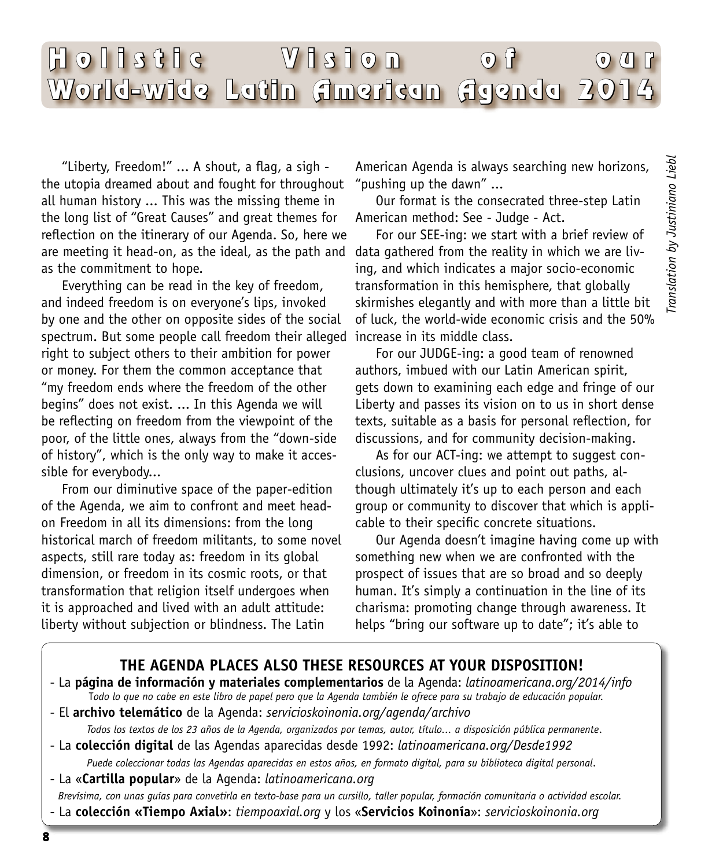# Hollstic Vision of ou World-wide Latin American Agenda 2014

"Liberty, Freedom!" ... A shout, a flag, a sigh the utopia dreamed about and fought for throughout all human history ... This was the missing theme in the long list of "Great Causes" and great themes for reflection on the itinerary of our Agenda. So, here we are meeting it head-on, as the ideal, as the path and as the commitment to hope.

Everything can be read in the key of freedom, and indeed freedom is on everyone's lips, invoked by one and the other on opposite sides of the social spectrum. But some people call freedom their alleged increase in its middle class. right to subject others to their ambition for power or money. For them the common acceptance that "my freedom ends where the freedom of the other begins" does not exist. ... In this Agenda we will be reflecting on freedom from the viewpoint of the poor, of the little ones, always from the "down-side of history", which is the only way to make it accessible for everybody...

From our diminutive space of the paper-edition of the Agenda, we aim to confront and meet headon Freedom in all its dimensions: from the long historical march of freedom militants, to some novel aspects, still rare today as: freedom in its global dimension, or freedom in its cosmic roots, or that transformation that religion itself undergoes when it is approached and lived with an adult attitude: liberty without subjection or blindness. The Latin

American Agenda is always searching new horizons, "pushing up the dawn" ...

Our format is the consecrated three-step Latin American method: See - Judge - Act.

For our SEE-ing: we start with a brief review of data gathered from the reality in which we are living, and which indicates a major socio-economic transformation in this hemisphere, that globally skirmishes elegantly and with more than a little bit of luck, the world-wide economic crisis and the 50%

For our JUDGE-ing: a good team of renowned authors, imbued with our Latin American spirit, gets down to examining each edge and fringe of our Liberty and passes its vision on to us in short dense texts, suitable as a basis for personal reflection, for discussions, and for community decision-making.

As for our ACT-ing: we attempt to suggest conclusions, uncover clues and point out paths, although ultimately it's up to each person and each group or community to discover that which is applicable to their specific concrete situations.

Our Agenda doesn't imagine having come up with something new when we are confronted with the prospect of issues that are so broad and so deeply human. It's simply a continuation in the line of its charisma: promoting change through awareness. It helps "bring our software up to date"; it's able to

## **THE AGENDA PLACES ALSO THESE RESOURCES AT YOUR DISPOSITION!**

- La **página de información y materiales complementarios** de la Agenda: *latinoamericana.org/2014/info* T*odo lo que no cabe en este libro de papel pero que la Agenda también le ofrece para su trabajo de educación popular.* 

- El **archivo telemático** de la Agenda: *servicioskoinonia.org/agenda/archivo*

*Todos los textos de los 23 años de la Agenda, organizados por temas, autor, título... a disposición pública permanente*.

- La **colección digital** de las Agendas aparecidas desde 1992: *latinoamericana.org/Desde1992*

*Puede coleccionar todas las Agendas aparecidas en estos años, en formato digital, para su biblioteca digital personal*.

- La «**Cartilla popular**» de la Agenda: *latinoamericana.org*

 *Brevísima, con unas guías para convetirla en texto-base para un cursillo, taller popular, formación comunitaria o actividad escolar.*  - La **colección «Tiempo Axial»**: *tiempoaxial.org* y los «**Servicios Koinonía**»: *servicioskoinonia.org*

8